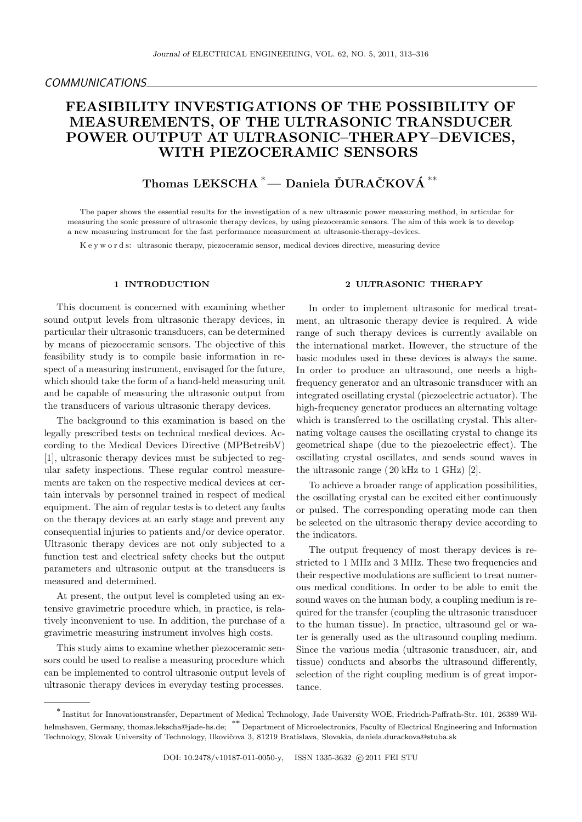# **FEASIBILITY INVESTIGATIONS OF THE POSSIBILITY OF MEASUREMENTS, OF THE ULTRASONIC TRANSDUCER POWER OUTPUT AT ULTRASONIC–THERAPY–DEVICES, WITH PIEZOCERAMIC SENSORS**

## $\bf{Thomas}\,\, \bf{LEKSCHA}\,\,{}^*$  —  $\bf{Daniela}\,\, \bf{\tilde{D}URA\tilde{C}KOV\tilde{A}}\,\,{}^{**}$

The paper shows the essential results for the investigation of a new ultrasonic power measuring method, in articular for measuring the sonic pressure of ultrasonic therapy devices, by using piezoceramic sensors. The aim of this work is to develop a new measuring instrument for the fast performance measurement at ultrasonic-therapy-devices.

K e y w o r d s: ultrasonic therapy, piezoceramic sensor, medical devices directive, measuring device

## **1 INTRODUCTION**

This document is concerned with examining whether sound output levels from ultrasonic therapy devices, in particular their ultrasonic transducers, can be determined by means of piezoceramic sensors. The objective of this feasibility study is to compile basic information in respect of a measuring instrument, envisaged for the future, which should take the form of a hand-held measuring unit and be capable of measuring the ultrasonic output from the transducers of various ultrasonic therapy devices.

The background to this examination is based on the legally prescribed tests on technical medical devices. According to the Medical Devices Directive (MPBetreibV) [1], ultrasonic therapy devices must be subjected to regular safety inspections. These regular control measurements are taken on the respective medical devices at certain intervals by personnel trained in respect of medical equipment. The aim of regular tests is to detect any faults on the therapy devices at an early stage and prevent any consequential injuries to patients and/or device operator. Ultrasonic therapy devices are not only subjected to a function test and electrical safety checks but the output parameters and ultrasonic output at the transducers is measured and determined.

At present, the output level is completed using an extensive gravimetric procedure which, in practice, is relatively inconvenient to use. In addition, the purchase of a gravimetric measuring instrument involves high costs.

This study aims to examine whether piezoceramic sensors could be used to realise a measuring procedure which can be implemented to control ultrasonic output levels of ultrasonic therapy devices in everyday testing processes.

## **2 ULTRASONIC THERAPY**

In order to implement ultrasonic for medical treatment, an ultrasonic therapy device is required. A wide range of such therapy devices is currently available on the international market. However, the structure of the basic modules used in these devices is always the same. In order to produce an ultrasound, one needs a highfrequency generator and an ultrasonic transducer with an integrated oscillating crystal (piezoelectric actuator). The high-frequency generator produces an alternating voltage which is transferred to the oscillating crystal. This alternating voltage causes the oscillating crystal to change its geometrical shape (due to the piezoelectric effect). The oscillating crystal oscillates, and sends sound waves in the ultrasonic range ( 20 kHz to 1 GHz) [2].

To achieve a broader range of application possibilities, the oscillating crystal can be excited either continuously or pulsed. The corresponding operating mode can then be selected on the ultrasonic therapy device according to the indicators.

The output frequency of most therapy devices is restricted to 1 MHz and 3 MHz. These two frequencies and their respective modulations are sufficient to treat numerous medical conditions. In order to be able to emit the sound waves on the human body, a coupling medium is required for the transfer (coupling the ultrasonic transducer to the human tissue). In practice, ultrasound gel or water is generally used as the ultrasound coupling medium. Since the various media (ultrasonic transducer, air, and tissue) conducts and absorbs the ultrasound differently, selection of the right coupling medium is of great importance.

*<sup>∗</sup>* Institut for Innovationstransfer, Department of Medical Technology, Jade University WOE, Friedrich-Paffrath-Str. 101, 26389 Wilhelmshaven, Germany, thomas.lekscha@jade-hs.de; *∗∗* Department of Microelectronics, Faculty of Electrical Engineering and Information Technology, Slovak University of Technology, Ilkovičova 3, 81219 Bratislava, Slovakia, daniela.durackova@stuba.sk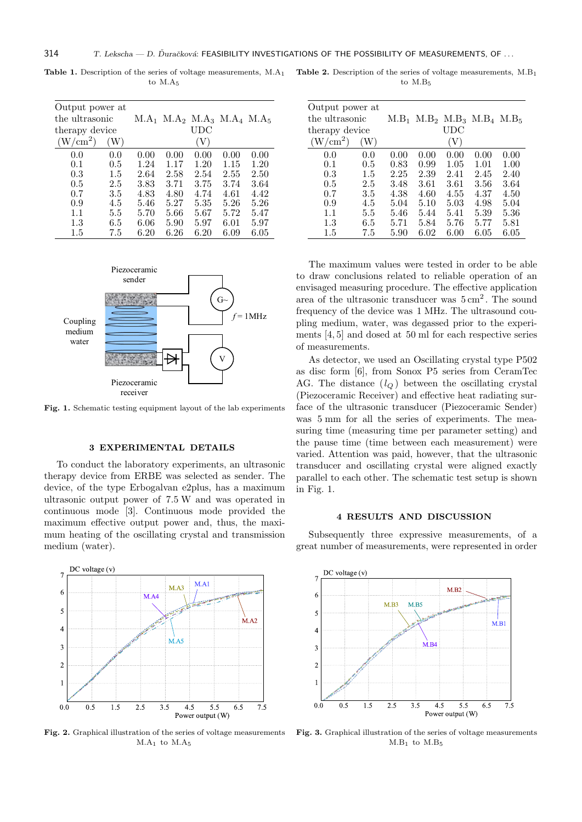| Output power at      |     |      |      |                                         |      |      |
|----------------------|-----|------|------|-----------------------------------------|------|------|
| the ultrasonic       |     |      |      | $M.A_1$ $M.A_2$ $M.A_3$ $M.A_4$ $M.A_5$ |      |      |
| therapy device       |     |      |      | UDC                                     |      |      |
| (W/cm <sup>2</sup> ) | W)  |      |      | V                                       |      |      |
| 0.0                  | 0.0 | 0.00 | 0.00 | 0.00                                    | 0.00 | 0.00 |
| 0.1                  | 0.5 | 1.24 | 1.17 | 1.20                                    | 1.15 | 1.20 |
| 0.3                  | 1.5 | 2.64 | 2.58 | 2.54                                    | 2.55 | 2.50 |
| 0.5                  | 2.5 | 3.83 | 3.71 | 3.75                                    | 3.74 | 3.64 |
| 0.7                  | 3.5 | 4.83 | 4.80 | 4.74                                    | 4.61 | 4.42 |
| 0.9                  | 4.5 | 5.46 | 5.27 | 5.35                                    | 5.26 | 5.26 |
| 1.1                  | 5.5 | 5.70 | 5.66 | $5.67\,$                                | 5.72 | 5.47 |
| $1.3\,$              | 6.5 | 6.06 | 5.90 | 5.97                                    | 6.01 | 5.97 |
| 1.5                  | 7.5 | 6.20 | 6.26 | 6.20                                    | 6.09 | 6.05 |

**Table 1.** Description of the series of voltage measurements, M.A<sup>1</sup> to  $M.A_5$ 



**Fig. 1.** Schematic testing equipment layout of the lab experiments

#### **3 EXPERIMENTAL DETAILS**

To conduct the laboratory experiments, an ultrasonic therapy device from ERBE was selected as sender. The device, of the type Erbogalvan e2plus, has a maximum ultrasonic output power of 7*.*5 W and was operated in continuous mode [3]. Continuous mode provided the maximum effective output power and, thus, the maximum heating of the oscillating crystal and transmission medium (water).



**Fig. 2.** Graphical illustration of the series of voltage measurements  $M.A<sub>1</sub>$  to  $M.A<sub>5</sub>$ 

Table 2. Description of the series of voltage measurements,  $M.B<sub>1</sub>$ to M.B<sub>5</sub>

| Output power at      |         |             |      |                                 |          |      |
|----------------------|---------|-------------|------|---------------------------------|----------|------|
| the ultrasonic       |         | $\rm M.B_1$ |      | $M.B_2$ $M.B_3$ $M.B_4$ $M.B_5$ |          |      |
| therapy device       |         |             |      | UDC                             |          |      |
| (W/cm <sup>2</sup> ) | W)      |             |      | V                               |          |      |
| 0.0                  | 0.0     | 0.00        | 0.00 | 0.00                            | 0.00     | 0.00 |
| 0.1                  | $0.5\,$ | 0.83        | 0.99 | 1.05                            | 1.01     | 1.00 |
| 0.3                  | 1.5     | 2.25        | 2.39 | 2.41                            | 2.45     | 2.40 |
| 0.5                  | 2.5     | 3.48        | 3.61 | 3.61                            | 3.56     | 3.64 |
| 0.7                  | 3.5     | 4.38        | 4.60 | 4.55                            | 4.37     | 4.50 |
| 0.9                  | 4.5     | 5.04        | 5.10 | 5.03                            | 4.98     | 5.04 |
| 1.1                  | 5.5     | 5.46        | 5.44 | 5.41                            | 5.39     | 5.36 |
| 1.3                  | 6.5     | 5.71        | 5.84 | 5.76                            | 5.77     | 5.81 |
| 1.5                  | 7.5     | 5.90        | 6.02 | $6.00\,$                        | $6.05\,$ | 6.05 |

The maximum values were tested in order to be able to draw conclusions related to reliable operation of an envisaged measuring procedure. The effective application area of the ultrasonic transducer was  $5 \text{ cm}^2$ . The sound frequency of the device was 1 MHz. The ultrasound coupling medium, water, was degassed prior to the experiments [4, 5] and dosed at 50 ml for each respective series of measurements.

As detector, we used an Oscillating crystal type P502 as disc form [6], from Sonox P5 series from CeramTec AG. The distance  $(l_Q)$  between the oscillating crystal (Piezoceramic Receiver) and effective heat radiating surface of the ultrasonic transducer (Piezoceramic Sender) was 5 mm for all the series of experiments. The measuring time (measuring time per parameter setting) and the pause time (time between each measurement) were varied. Attention was paid, however, that the ultrasonic transducer and oscillating crystal were aligned exactly parallel to each other. The schematic test setup is shown in Fig. 1.

#### **4 RESULTS AND DISCUSSION**

Subsequently three expressive measurements, of a great number of measurements, were represented in order



**Fig. 3.** Graphical illustration of the series of voltage measurements  $M.B_1$  to  $M.B_5$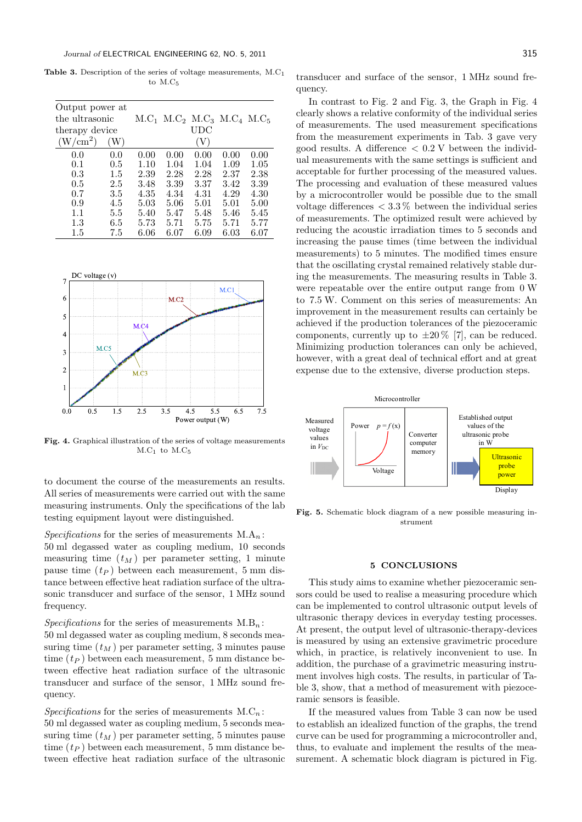Table 3. Description of the series of voltage measurements, M.C<sub>1</sub> to M.C<sub>5</sub>

| Output power at      |         |      |      |                                    |      |      |
|----------------------|---------|------|------|------------------------------------|------|------|
| the ultrasonic       |         |      |      | $M.C1$ $M.C2$ $M.C3$ $M.C4$ $M.C5$ |      |      |
| therapy device       |         |      |      | UDC                                |      |      |
| (W/cm <sup>2</sup> ) | W)      |      |      | 'V)                                |      |      |
| 0.0                  | 0.0     | 0.00 | 0.00 | 0.00                               | 0.00 | 0.00 |
| 0.1                  | $0.5\,$ | 1.10 | 1.04 | 1.04                               | 1.09 | 1.05 |
| 0.3                  | 1.5     | 2.39 | 2.28 | 2.28                               | 2.37 | 2.38 |
| 0.5                  | 2.5     | 3.48 | 3.39 | 3.37                               | 3.42 | 3.39 |
| 0.7                  | 3.5     | 4.35 | 4.34 | 4.31                               | 4.29 | 4.30 |
| 0.9                  | 4.5     | 5.03 | 5.06 | 5.01                               | 5.01 | 5.00 |
| 1.1                  | 5.5     | 5.40 | 5.47 | 5.48                               | 5.46 | 5.45 |
| $1.3\,$              | 6.5     | 5.73 | 5.71 | 5.75                               | 5.71 | 5.77 |
| 1.5                  | 7.5     | 6.06 | 6.07 | 6.09                               | 6.03 | 6.07 |



**Fig. 4.** Graphical illustration of the series of voltage measurements  $M.C<sub>1</sub>$  to  $M.C<sub>5</sub>$ 

to document the course of the measurements an results. All series of measurements were carried out with the same measuring instruments. Only the specifications of the lab testing equipment layout were distinguished.

*Specifications* for the series of measurements  $M.A_n$ : 50 ml degassed water as coupling medium, 10 seconds measuring time  $(t_M)$  per parameter setting, 1 minute pause time (*t<sup>P</sup>* ) between each measurement, 5 mm distance between effective heat radiation surface of the ultrasonic transducer and surface of the sensor, 1 MHz sound frequency.

 $Specifications$  for the series of measurements  $M.B_n$ :

50 ml degassed water as coupling medium, 8 seconds measuring time  $(t_M)$  per parameter setting, 3 minutes pause time  $(t_P)$  between each measurement, 5 mm distance between effective heat radiation surface of the ultrasonic transducer and surface of the sensor, 1 MHz sound frequency.

*Specifications* for the series of measurements  $M.C_n$ :

50 ml degassed water as coupling medium, 5 seconds measuring time  $(t_M)$  per parameter setting, 5 minutes pause time  $(t_P)$  between each measurement, 5 mm distance between effective heat radiation surface of the ultrasonic

transducer and surface of the sensor, 1 MHz sound frequency.

In contrast to Fig. 2 and Fig. 3, the Graph in Fig. 4 clearly shows a relative conformity of the individual series of measurements. The used measurement specifications from the measurement experiments in Tab. 3 gave very good results. A difference *<* 0*.*2 V between the individual measurements with the same settings is sufficient and acceptable for further processing of the measured values. The processing and evaluation of these measured values by a microcontroller would be possible due to the small voltage differences *<* 3*.*3 % between the individual series of measurements. The optimized result were achieved by reducing the acoustic irradiation times to 5 seconds and increasing the pause times (time between the individual measurements) to 5 minutes. The modified times ensure that the oscillating crystal remained relatively stable during the measurements. The measuring results in Table 3. were repeatable over the entire output range from 0 W to 7*.*5 W. Comment on this series of measurements: An improvement in the measurement results can certainly be achieved if the production tolerances of the piezoceramic components, currently up to  $\pm 20\%$  [7], can be reduced. Minimizing production tolerances can only be achieved, however, with a great deal of technical effort and at great expense due to the extensive, diverse production steps.



**Fig. 5.** Schematic block diagram of a new possible measuring instrument

#### **5 CONCLUSIONS**

This study aims to examine whether piezoceramic sensors could be used to realise a measuring procedure which can be implemented to control ultrasonic output levels of ultrasonic therapy devices in everyday testing processes. At present, the output level of ultrasonic-therapy-devices is measured by using an extensive gravimetric procedure which, in practice, is relatively inconvenient to use. In addition, the purchase of a gravimetric measuring instrument involves high costs. The results, in particular of Table 3, show, that a method of measurement with piezoceramic sensors is feasible.

If the measured values from Table 3 can now be used to establish an idealized function of the graphs, the trend curve can be used for programming a microcontroller and, thus, to evaluate and implement the results of the measurement. A schematic block diagram is pictured in Fig.